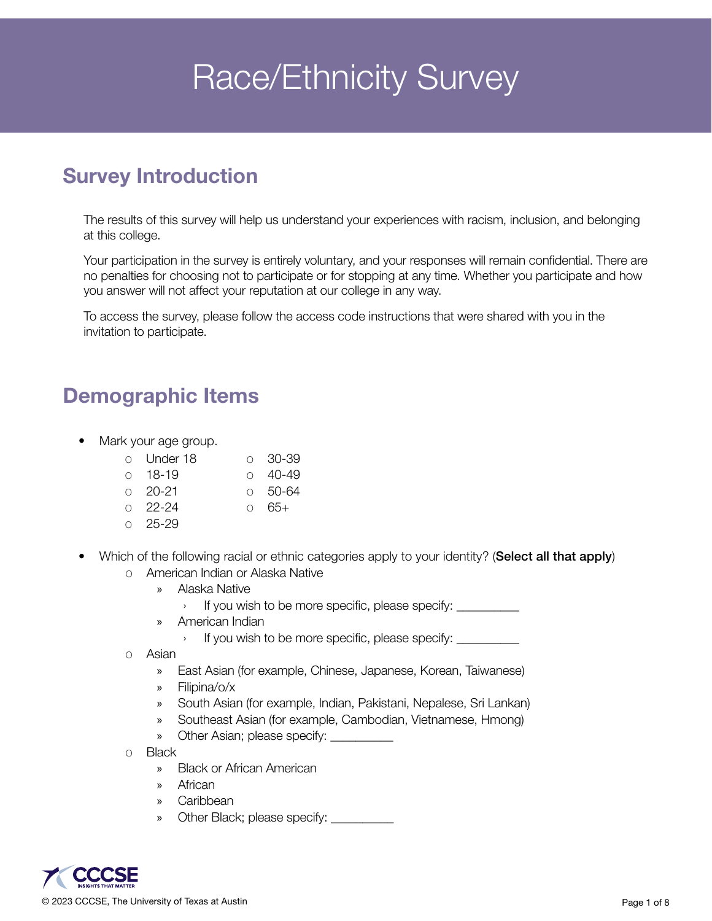# **Race/Ethnicity Survey**

# Survey Introduction

The results of this survey will help us understand your experiences with racism, inclusion, and belonging at this college.

Your participation in the survey is entirely voluntary, and your responses will remain confidential. There are no penalties for choosing not to participate or for stopping at any time. Whether you participate and how you answer will not affect your reputation at our college in any way.

To access the survey, please follow the access code instructions that were shared with you in the invitation to participate.

### Demographic Items

- Mark your age group.
	- o Under 18 o 18-19 o 30-39 o 40-49
	- o 20-21 o 50-64
	- $0 \quad 22 24$  $\circ$  65+
	- o 25-29
- Which of the following racial or ethnic categories apply to your identity? (Select all that apply) o American Indian or Alaska Native
	- - » Alaska Native
			- › If you wish to be more specific, please specify: \_\_\_\_\_\_\_\_\_\_
		- » American Indian
			- › If you wish to be more specific, please specify: \_\_\_\_\_\_\_\_\_\_
	- o Asian
		- » East Asian (for example, Chinese, Japanese, Korean, Taiwanese)
		- » Filipina/o/x
		- » South Asian (for example, Indian, Pakistani, Nepalese, Sri Lankan)
		- » Southeast Asian (for example, Cambodian, Vietnamese, Hmong)
		- » Other Asian; please specify: \_\_\_\_\_\_\_\_\_\_
	- o Black
		- » Black or African American
		- » African
		- » Caribbean
		- » Other Black; please specify: \_\_\_\_\_\_\_\_\_\_\_

© 2023 CCCSE, The University of Texas at Austin Page 1 of 8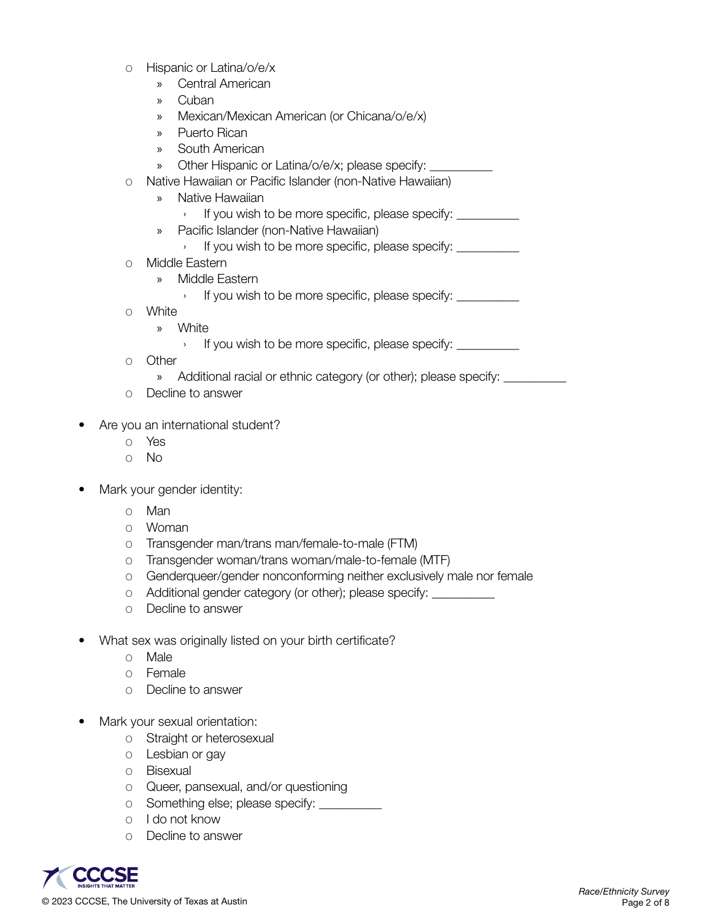- o Hispanic or Latina/o/e/x
	- » Central American
	- » Cuban
	- » Mexican/Mexican American (or Chicana/o/e/x)
	- » Puerto Rican
	- » South American
	- » Other Hispanic or Latina/o/e/x; please specify:
- o Native Hawaiian or Pacific Islander (non-Native Hawaiian)
	- » Native Hawaiian
		- $\rightarrow$  If you wish to be more specific, please specify:
	- » Pacific Islander (non-Native Hawaiian)
		- › If you wish to be more specific, please specify: \_\_\_\_\_\_\_\_\_\_
- o Middle Eastern
	- » Middle Eastern
		- › If you wish to be more specific, please specify: \_\_\_\_\_\_\_\_\_\_
- o White
	- » White
		- › If you wish to be more specific, please specify: \_\_\_\_\_\_\_\_\_\_
- o Other
	- » Additional racial or ethnic category (or other); please specify: \_\_\_\_\_\_\_\_\_\_\_\_\_
- o Decline to answer
- Are you an international student?
	- o Yes
	- o No
- Mark your gender identity:
	- o Man
	- o Woman
	- o Transgender man/trans man/female-to-male (FTM)
	- o Transgender woman/trans woman/male-to-female (MTF)
	- o Genderqueer/gender nonconforming neither exclusively male nor female
	- o Additional gender category (or other); please specify: \_\_\_\_\_\_\_\_\_\_
	- o Decline to answer
- What sex was originally listed on your birth certificate?
	- o Male
	- o Female
	- o Decline to answer
- Mark your sexual orientation:
	- o Straight or heterosexual
	- o Lesbian or gay
	- o Bisexual
	- o Queer, pansexual, and/or questioning
	- o Something else; please specify: \_\_\_\_\_\_\_\_\_\_
	- o I do not know
	- o Decline to answer

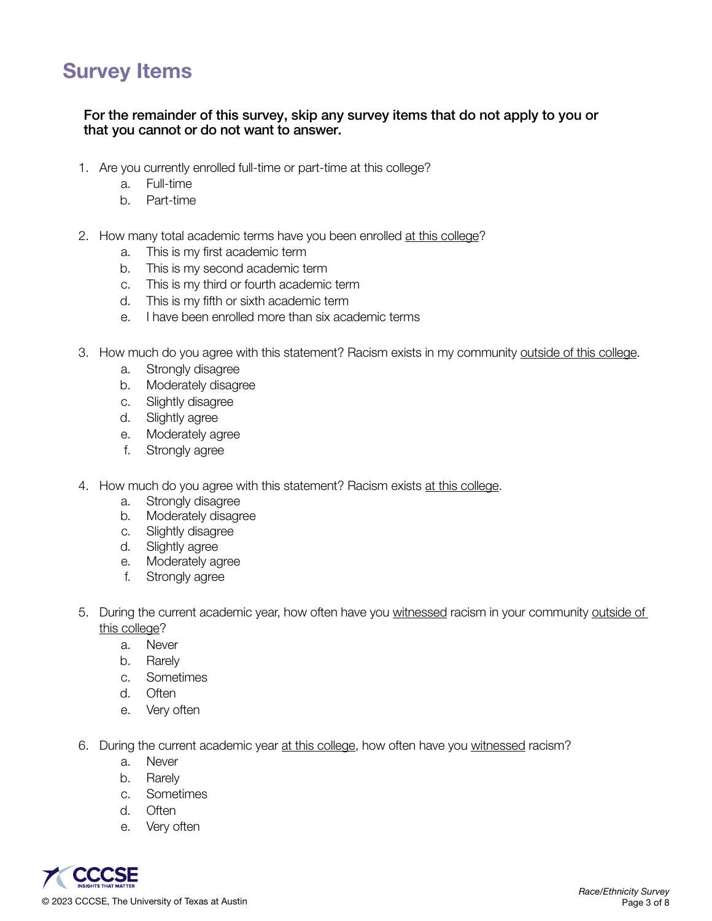## Survey Items

#### For the remainder of this survey, skip any survey items that do not apply to you or that you cannot or do not want to answer.

- 1. Are you currently enrolled full-time or part-time at this college?
	- a. Full-time
	- b. Part-time
- 2. How many total academic terms have you been enrolled at this college?
	- a. This is my first academic term
	- b. This is my second academic term
	- c. This is my third or fourth academic term
	- d. This is my fifth or sixth academic term
	- e. I have been enrolled more than six academic terms
- 3. How much do you agree with this statement? Racism exists in my community outside of this college.
	- a. Strongly disagree
	- b. Moderately disagree
	- c. Slightly disagree
	- d. Slightly agree
	- e. Moderately agree
	- f. Strongly agree
- 4. How much do you agree with this statement? Racism exists at this college.
	- a. Strongly disagree
	- b. Moderately disagree
	- c. Slightly disagree
	- d. Slightly agree
	- e. Moderately agree
	- f. Strongly agree
- 5. During the current academic year, how often have you witnessed racism in your community outside of this college?
	- a. Never
	- b. Rarely
	- c. Sometimes
	- d. Often
	- e. Very often
- 6. During the current academic year at this college, how often have you witnessed racism?
	- a. Never
	- b. Rarely
	- c. Sometimes
	- d. Often
	- e. Very often

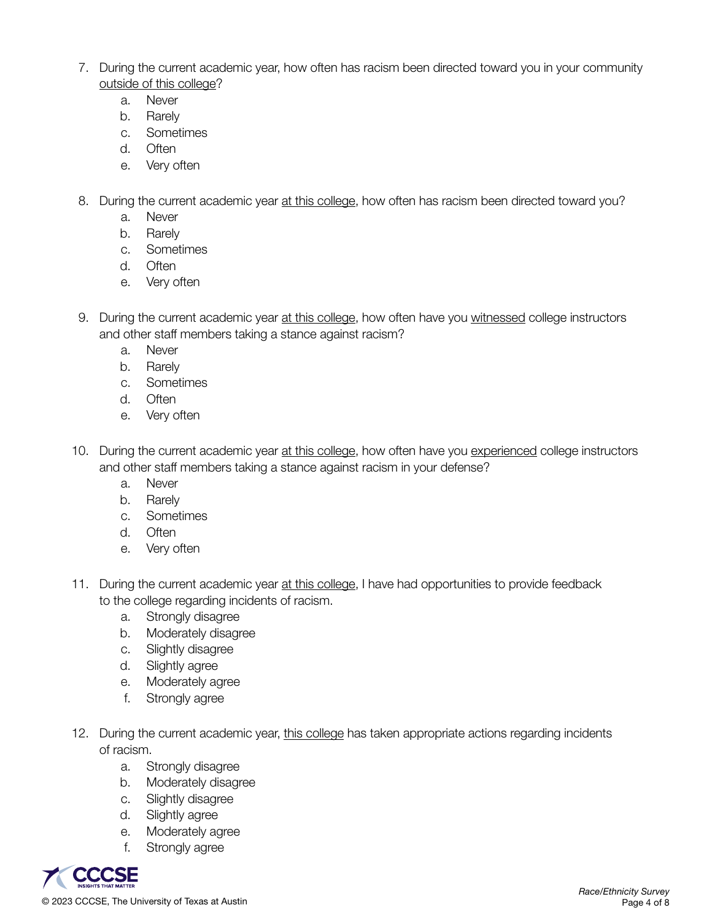- 7. During the current academic year, how often has racism been directed toward you in your community outside of this college?
	- a. Never
	- b. Rarely
	- c. Sometimes
	- d. Often
	- e. Very often
- 8. During the current academic year at this college, how often has racism been directed toward you?
	- a. Never
	- b. Rarely
	- c. Sometimes
	- d. Often
	- e. Very often
- 9. During the current academic year at this college, how often have you witnessed college instructors and other staff members taking a stance against racism?
	- a. Never
	- b. Rarely
	- c. Sometimes
	- d. Often
	- e. Very often
- 10. During the current academic year at this college, how often have you experienced college instructors and other staff members taking a stance against racism in your defense?
	- a. Never
	- b. Rarely
	- c. Sometimes
	- d. Often
	- e. Very often
- 11. During the current academic year at this college, I have had opportunities to provide feedback to the college regarding incidents of racism.
	- a. Strongly disagree
	- b. Moderately disagree
	- c. Slightly disagree
	- d. Slightly agree
	- e. Moderately agree
	- f. Strongly agree
- 12. During the current academic year, this college has taken appropriate actions regarding incidents of racism.
	- a. Strongly disagree
	- b. Moderately disagree
	- c. Slightly disagree
	- d. Slightly agree
	- e. Moderately agree
	- f. Strongly agree

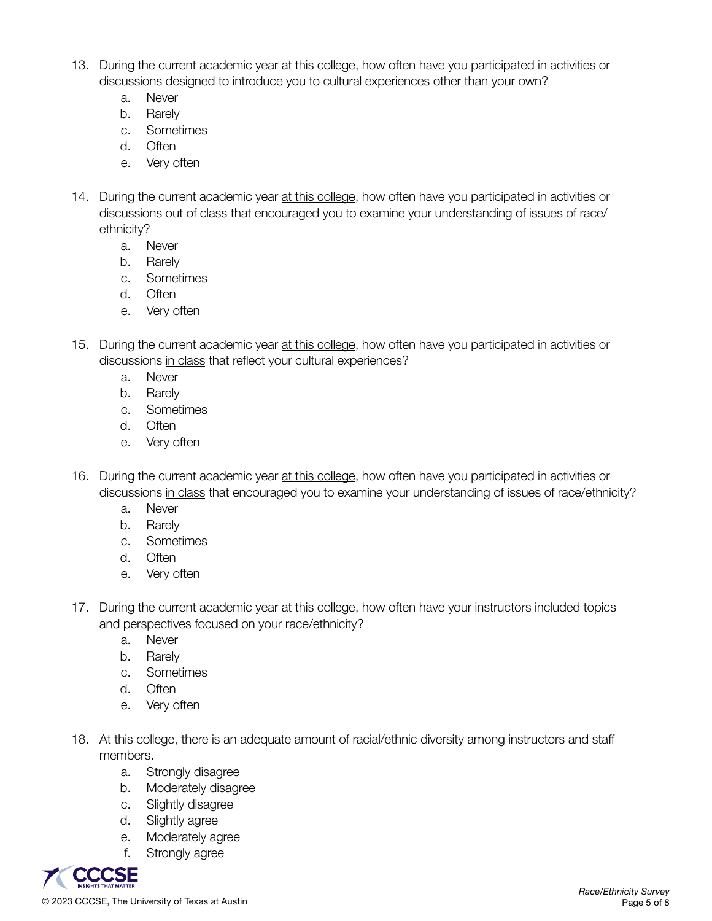- 13. During the current academic year at this college, how often have you participated in activities or discussions designed to introduce you to cultural experiences other than your own?
	- a. Never
	- b. Rarely
	- c. Sometimes
	- d. Often
	- e. Very often
- 14. During the current academic year at this college, how often have you participated in activities or discussions out of class that encouraged you to examine your understanding of issues of race/ ethnicity?
	- a. Never
	- b. Rarely
	- c. Sometimes
	- d. Often
	- e. Very often
- 15. During the current academic year at this college, how often have you participated in activities or discussions in class that reflect your cultural experiences?
	- a. Never
	- b. Rarely
	- c. Sometimes
	- d. Often
	- e. Very often
- 16. During the current academic year at this college, how often have you participated in activities or discussions in class that encouraged you to examine your understanding of issues of race/ethnicity?
	- a. Never
	- b. Rarely
	- c. Sometimes
	- d. Often
	- e. Very often
- 17. During the current academic year at this college, how often have your instructors included topics and perspectives focused on your race/ethnicity?
	- a. Never
	- b. Rarely
	- c. Sometimes
	- d. Often
	- e. Very often
- 18. At this college, there is an adequate amount of racial/ethnic diversity among instructors and staff members.
	- a. Strongly disagree
	- b. Moderately disagree
	- c. Slightly disagree
	- d. Slightly agree
	- e. Moderately agree
	- f. Strongly agree

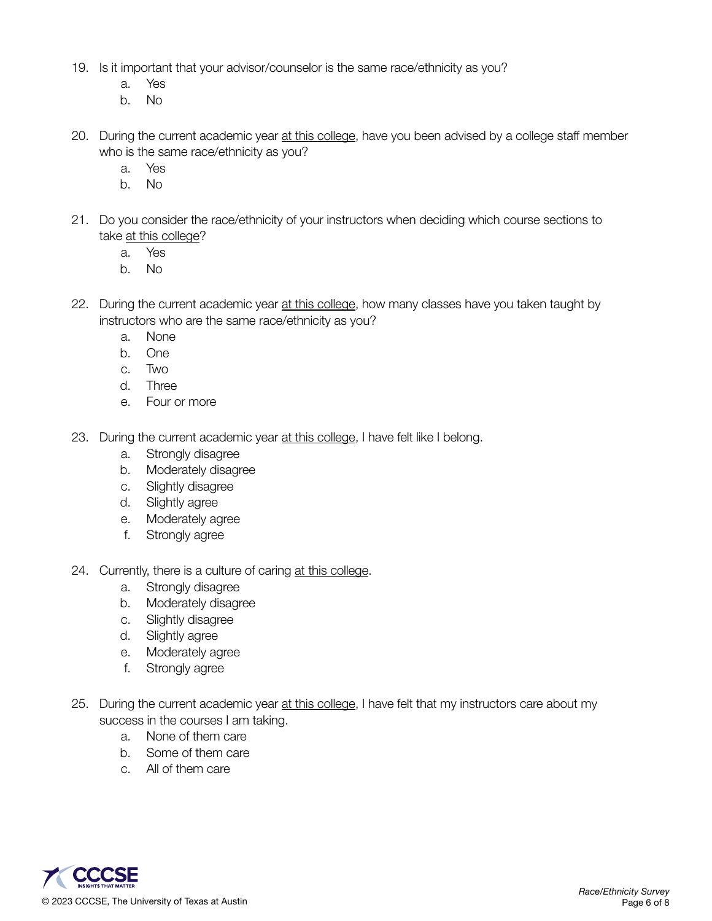- 19. Is it important that your advisor/counselor is the same race/ethnicity as you?
	- a. Yes
	- b. No
- 20. During the current academic year at this college, have you been advised by a college staff member who is the same race/ethnicity as you?
	- a. Yes
	- b. No
- 21. Do you consider the race/ethnicity of your instructors when deciding which course sections to take at this college?
	- a. Yes
	- b. No
- 22. During the current academic year at this college, how many classes have you taken taught by instructors who are the same race/ethnicity as you?
	- a. None
	- b. One
	- c. Two
	- d. Three
	- e. Four or more
- 23. During the current academic year at this college, I have felt like I belong.
	- a. Strongly disagree
	- b. Moderately disagree
	- c. Slightly disagree
	- d. Slightly agree
	- e. Moderately agree
	- f. Strongly agree
- 24. Currently, there is a culture of caring at this college.
	- a. Strongly disagree
	- b. Moderately disagree
	- c. Slightly disagree
	- d. Slightly agree
	- e. Moderately agree
	- f. Strongly agree
- 25. During the current academic year at this college, I have felt that my instructors care about my success in the courses I am taking.
	- a. None of them care
	- b. Some of them care
	- c. All of them care

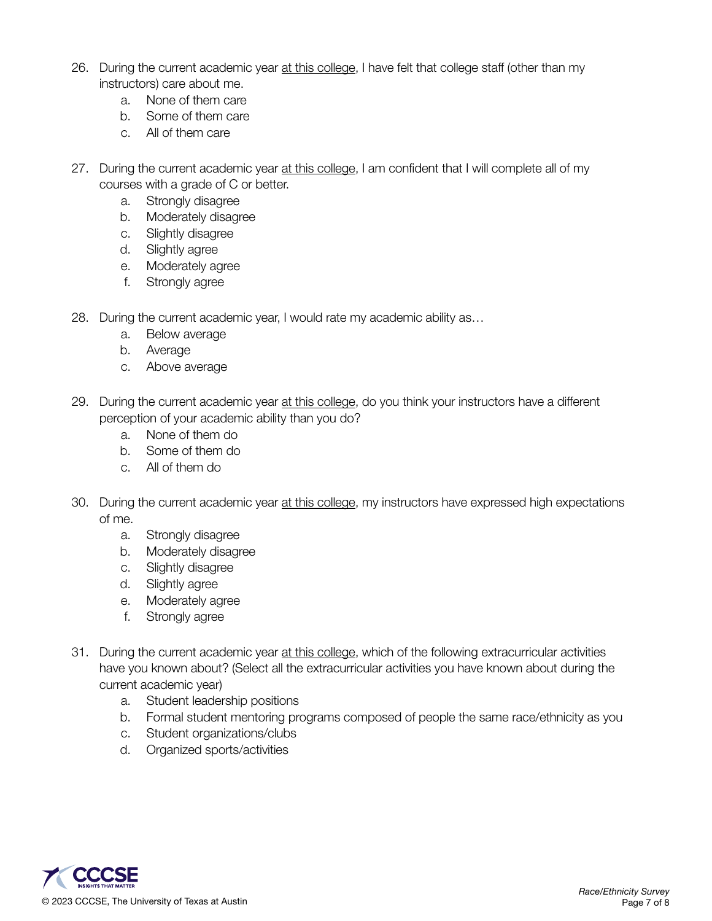- 26. During the current academic year at this college, I have felt that college staff (other than my instructors) care about me.
	- a. None of them care
	- b. Some of them care
	- c. All of them care
- 27. During the current academic year at this college, I am confident that I will complete all of my courses with a grade of C or better.
	- a. Strongly disagree
	- b. Moderately disagree
	- c. Slightly disagree
	- d. Slightly agree
	- e. Moderately agree
	- f. Strongly agree
- 28. During the current academic year, I would rate my academic ability as…
	- a. Below average
	- b. Average
	- c. Above average
- 29. During the current academic year at this college, do you think your instructors have a different perception of your academic ability than you do?
	- a. None of them do
	- b. Some of them do
	- c. All of them do
- 30. During the current academic year at this college, my instructors have expressed high expectations of me.
	- a. Strongly disagree
	- b. Moderately disagree
	- c. Slightly disagree
	- d. Slightly agree
	- e. Moderately agree
	- f. Strongly agree
- 31. During the current academic year at this college, which of the following extracurricular activities have you known about? (Select all the extracurricular activities you have known about during the current academic year)
	- a. Student leadership positions
	- b. Formal student mentoring programs composed of people the same race/ethnicity as you
	- c. Student organizations/clubs
	- d. Organized sports/activities